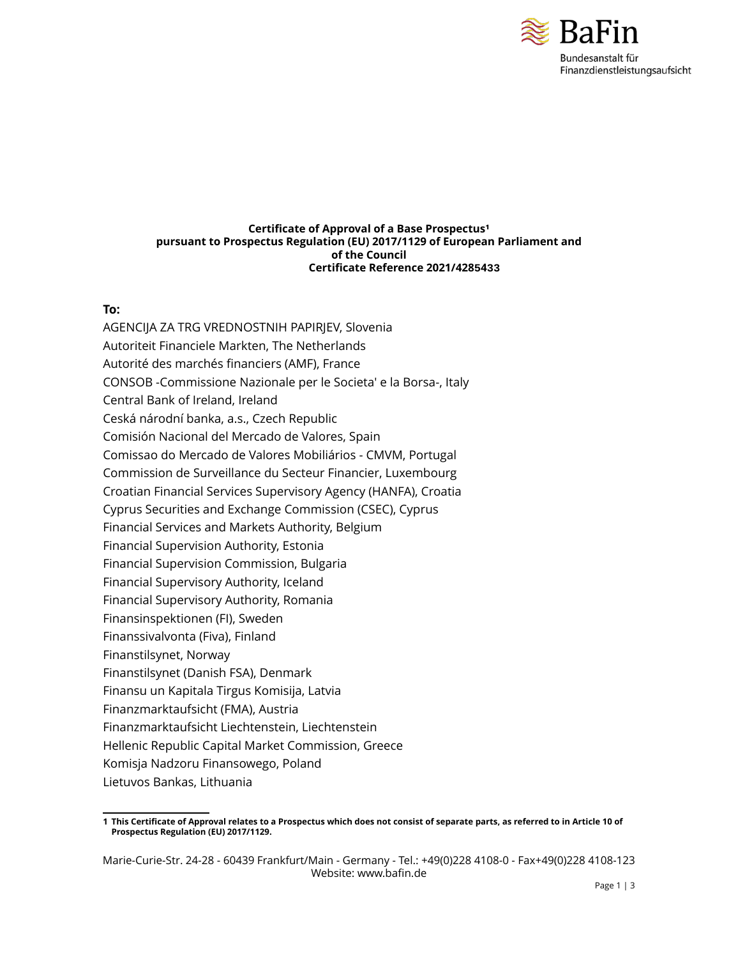

#### **Certificate of Approval of a Base Prospectus<sup>1</sup> pursuant to Prospectus Regulation (EU) 2017/1129 of European Parliament and of the Council Certificate Reference 2021/4285433**

### **To:**

AGENCIJA ZA TRG VREDNOSTNIH PAPIRJEV, Slovenia Autoriteit Financiele Markten, The Netherlands Autorité des marchés financiers (AMF), France CONSOB -Commissione Nazionale per le Societa' e la Borsa-, Italy Central Bank of Ireland, Ireland Ceská národní banka, a.s., Czech Republic Comisión Nacional del Mercado de Valores, Spain Comissao do Mercado de Valores Mobiliários - CMVM, Portugal Commission de Surveillance du Secteur Financier, Luxembourg Croatian Financial Services Supervisory Agency (HANFA), Croatia Cyprus Securities and Exchange Commission (CSEC), Cyprus Financial Services and Markets Authority, Belgium Financial Supervision Authority, Estonia Financial Supervision Commission, Bulgaria Financial Supervisory Authority, Iceland Financial Supervisory Authority, Romania Finansinspektionen (FI), Sweden Finanssivalvonta (Fiva), Finland Finanstilsynet, Norway Finanstilsynet (Danish FSA), Denmark Finansu un Kapitala Tirgus Komisija, Latvia Finanzmarktaufsicht (FMA), Austria Finanzmarktaufsicht Liechtenstein, Liechtenstein Hellenic Republic Capital Market Commission, Greece Komisja Nadzoru Finansowego, Poland

Lietuvos Bankas, Lithuania

<sup>1</sup> This Certificate of Approval relates to a Prospectus which does not consist of separate parts, as referred to in Article 10 of **Prospectus Regulation (EU) 2017/1129.**

Marie-Curie-Str. 24-28 - 60439 Frankfurt/Main - Germany - Tel.: +49(0)228 4108-0 - Fax+49(0)228 4108-123 Website: www.bafin.de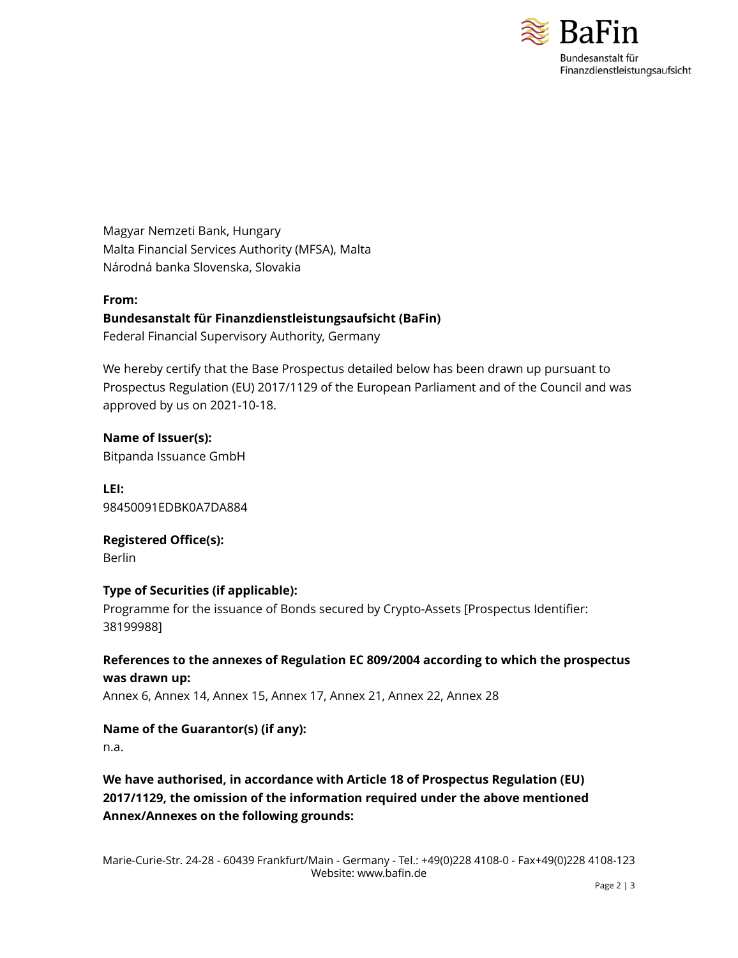

Magyar Nemzeti Bank, Hungary Malta Financial Services Authority (MFSA), Malta Národná banka Slovenska, Slovakia

### **From:**

### **Bundesanstalt für Finanzdienstleistungsaufsicht (BaFin)**

Federal Financial Supervisory Authority, Germany

We hereby certify that the Base Prospectus detailed below has been drawn up pursuant to Prospectus Regulation (EU) 2017/1129 of the European Parliament and of the Council and was approved by us on 2021-10-18.

**Name of Issuer(s):** Bitpanda Issuance GmbH

**LEI:** 98450091EDBK0A7DA884

**Registered Office(s):** Berlin

### **Type of Securities (if applicable):**

Programme for the issuance of Bonds secured by Crypto-Assets [Prospectus Identifier: 38199988]

### **References to the annexes of Regulation EC 809/2004 according to which the prospectus was drawn up:**

Annex 6, Annex 14, Annex 15, Annex 17, Annex 21, Annex 22, Annex 28

**Name of the Guarantor(s) (if any):**

n.a.

# **We have authorised, in accordance with Article 18 of Prospectus Regulation (EU) 2017/1129, the omission of the information required under the above mentioned Annex/Annexes on the following grounds:**

Marie-Curie-Str. 24-28 - 60439 Frankfurt/Main - Germany - Tel.: +49(0)228 4108-0 - Fax+49(0)228 4108-123 Website: www.bafin.de